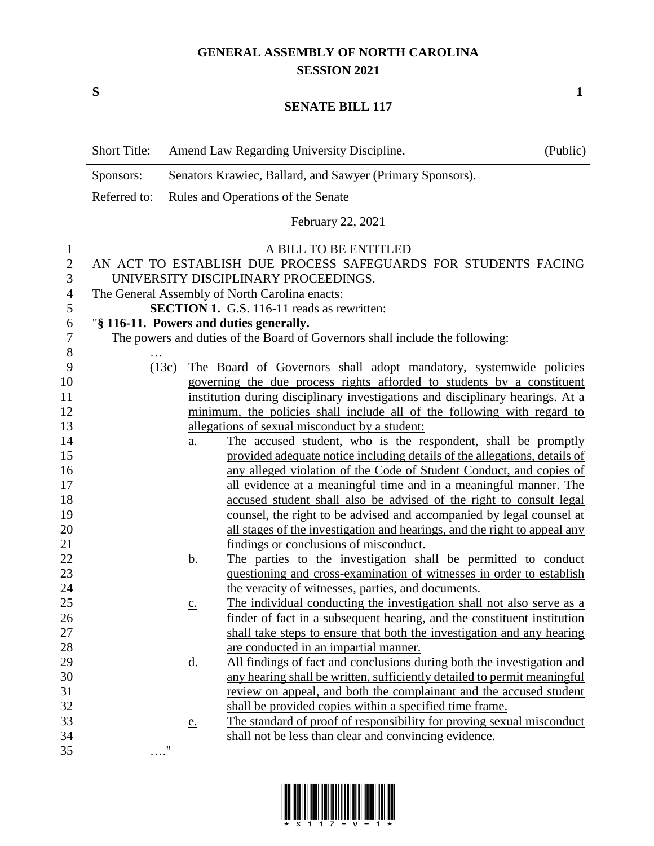## **GENERAL ASSEMBLY OF NORTH CAROLINA SESSION 2021**

**S 1**

## **SENATE BILL 117**

|                                                              | <b>Short Title:</b>                                                    |                   | Amend Law Regarding University Discipline.                                                                                                                                                                                                                                                                                                                        | (Public) |
|--------------------------------------------------------------|------------------------------------------------------------------------|-------------------|-------------------------------------------------------------------------------------------------------------------------------------------------------------------------------------------------------------------------------------------------------------------------------------------------------------------------------------------------------------------|----------|
|                                                              | Senators Krawiec, Ballard, and Sawyer (Primary Sponsors).<br>Sponsors: |                   |                                                                                                                                                                                                                                                                                                                                                                   |          |
|                                                              | Referred to:                                                           |                   | Rules and Operations of the Senate                                                                                                                                                                                                                                                                                                                                |          |
|                                                              |                                                                        |                   | February 22, 2021                                                                                                                                                                                                                                                                                                                                                 |          |
| $\mathbf{1}$<br>$\overline{2}$<br>3<br>4<br>5<br>6<br>7<br>8 |                                                                        |                   | A BILL TO BE ENTITLED<br>AN ACT TO ESTABLISH DUE PROCESS SAFEGUARDS FOR STUDENTS FACING<br>UNIVERSITY DISCIPLINARY PROCEEDINGS.<br>The General Assembly of North Carolina enacts:<br><b>SECTION 1.</b> G.S. 116-11 reads as rewritten:<br>"§ 116-11. Powers and duties generally.<br>The powers and duties of the Board of Governors shall include the following: |          |
| 9<br>10                                                      |                                                                        | (13c)             | The Board of Governors shall adopt mandatory, systemwide policies<br>governing the due process rights afforded to students by a constituent                                                                                                                                                                                                                       |          |
| 11                                                           |                                                                        |                   | institution during disciplinary investigations and disciplinary hearings. At a                                                                                                                                                                                                                                                                                    |          |
| 12<br>13                                                     |                                                                        |                   | minimum, the policies shall include all of the following with regard to<br>allegations of sexual misconduct by a student:                                                                                                                                                                                                                                         |          |
| 14                                                           |                                                                        | <u>a.</u>         | The accused student, who is the respondent, shall be promptly                                                                                                                                                                                                                                                                                                     |          |
| 15                                                           |                                                                        |                   | provided adequate notice including details of the allegations, details of                                                                                                                                                                                                                                                                                         |          |
| 16                                                           |                                                                        |                   | any alleged violation of the Code of Student Conduct, and copies of                                                                                                                                                                                                                                                                                               |          |
| 17                                                           |                                                                        |                   | all evidence at a meaningful time and in a meaningful manner. The                                                                                                                                                                                                                                                                                                 |          |
| 18                                                           |                                                                        |                   | accused student shall also be advised of the right to consult legal                                                                                                                                                                                                                                                                                               |          |
| 19                                                           |                                                                        |                   | counsel, the right to be advised and accompanied by legal counsel at                                                                                                                                                                                                                                                                                              |          |
| 20                                                           |                                                                        |                   | all stages of the investigation and hearings, and the right to appeal any                                                                                                                                                                                                                                                                                         |          |
| 21                                                           |                                                                        |                   | findings or conclusions of misconduct.                                                                                                                                                                                                                                                                                                                            |          |
| 22                                                           |                                                                        | <u>b.</u>         | The parties to the investigation shall be permitted to conduct                                                                                                                                                                                                                                                                                                    |          |
| 23                                                           |                                                                        |                   | questioning and cross-examination of witnesses in order to establish                                                                                                                                                                                                                                                                                              |          |
| 24                                                           |                                                                        |                   | the veracity of witnesses, parties, and documents.                                                                                                                                                                                                                                                                                                                |          |
| 25                                                           |                                                                        | $\underline{c}$ . | The individual conducting the investigation shall not also serve as a                                                                                                                                                                                                                                                                                             |          |
| 26                                                           |                                                                        |                   | finder of fact in a subsequent hearing, and the constituent institution                                                                                                                                                                                                                                                                                           |          |
| 27<br>28                                                     |                                                                        |                   | shall take steps to ensure that both the investigation and any hearing<br>are conducted in an impartial manner.                                                                                                                                                                                                                                                   |          |
| 29                                                           |                                                                        | <u>d.</u>         | All findings of fact and conclusions during both the investigation and                                                                                                                                                                                                                                                                                            |          |
| 30                                                           |                                                                        |                   | any hearing shall be written, sufficiently detailed to permit meaningful                                                                                                                                                                                                                                                                                          |          |
| 31                                                           |                                                                        |                   | review on appeal, and both the complainant and the accused student                                                                                                                                                                                                                                                                                                |          |
| 32                                                           |                                                                        |                   | shall be provided copies within a specified time frame.                                                                                                                                                                                                                                                                                                           |          |
| 33                                                           |                                                                        | e.                | The standard of proof of responsibility for proving sexual misconduct                                                                                                                                                                                                                                                                                             |          |
| 34                                                           |                                                                        |                   | shall not be less than clear and convincing evidence.                                                                                                                                                                                                                                                                                                             |          |
| 35                                                           |                                                                        | "                 |                                                                                                                                                                                                                                                                                                                                                                   |          |

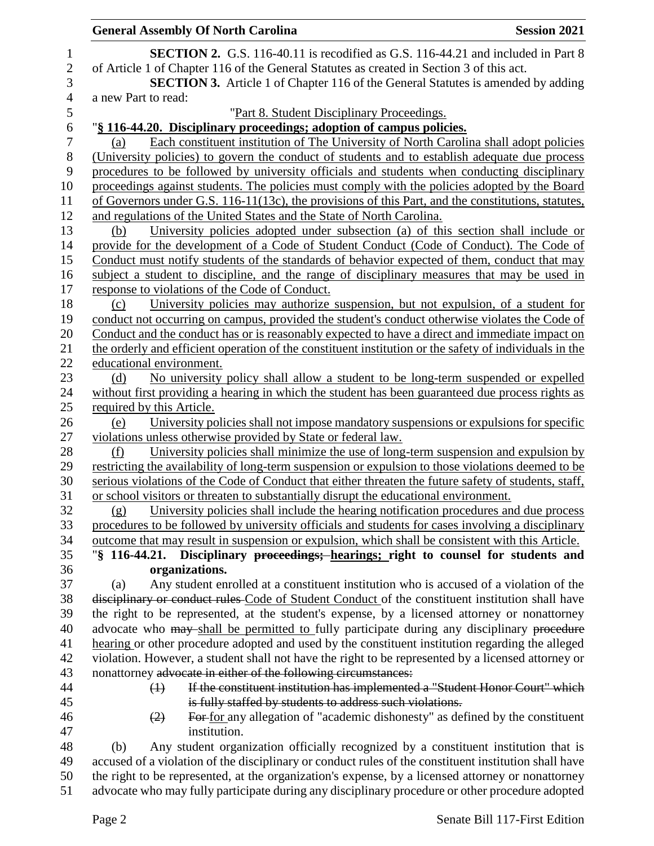|                  | <b>General Assembly Of North Carolina</b><br><b>Session 2021</b>                                                                                                                               |
|------------------|------------------------------------------------------------------------------------------------------------------------------------------------------------------------------------------------|
| $\mathbf{1}$     | <b>SECTION 2.</b> G.S. 116-40.11 is recodified as G.S. 116-44.21 and included in Part 8                                                                                                        |
| $\boldsymbol{2}$ | of Article 1 of Chapter 116 of the General Statutes as created in Section 3 of this act.                                                                                                       |
| $\mathfrak{Z}$   | <b>SECTION 3.</b> Article 1 of Chapter 116 of the General Statutes is amended by adding                                                                                                        |
| $\overline{4}$   | a new Part to read:                                                                                                                                                                            |
| 5                | "Part 8. Student Disciplinary Proceedings.                                                                                                                                                     |
| 6                | "§ 116-44.20. Disciplinary proceedings; adoption of campus policies.                                                                                                                           |
| 7                | Each constituent institution of The University of North Carolina shall adopt policies<br>(a)                                                                                                   |
| $8\,$            | (University policies) to govern the conduct of students and to establish adequate due process                                                                                                  |
| 9                | procedures to be followed by university officials and students when conducting disciplinary                                                                                                    |
| 10               | proceedings against students. The policies must comply with the policies adopted by the Board                                                                                                  |
| 11               | of Governors under G.S. 116-11(13c), the provisions of this Part, and the constitutions, statutes,                                                                                             |
| 12               | and regulations of the United States and the State of North Carolina.                                                                                                                          |
| 13               | University policies adopted under subsection (a) of this section shall include or<br>(b)                                                                                                       |
| 14               | provide for the development of a Code of Student Conduct (Code of Conduct). The Code of                                                                                                        |
| 15               | Conduct must notify students of the standards of behavior expected of them, conduct that may                                                                                                   |
| 16               | subject a student to discipline, and the range of disciplinary measures that may be used in                                                                                                    |
| 17               | response to violations of the Code of Conduct.                                                                                                                                                 |
| 18               | University policies may authorize suspension, but not expulsion, of a student for<br>(c)                                                                                                       |
| 19               | conduct not occurring on campus, provided the student's conduct otherwise violates the Code of                                                                                                 |
| 20               | Conduct and the conduct has or is reasonably expected to have a direct and immediate impact on                                                                                                 |
| 21               | the orderly and efficient operation of the constituent institution or the safety of individuals in the                                                                                         |
| 22               | educational environment.                                                                                                                                                                       |
| 23               | No university policy shall allow a student to be long-term suspended or expelled<br>(d)                                                                                                        |
| 24               | without first providing a hearing in which the student has been guaranteed due process rights as                                                                                               |
| 25               | required by this Article.                                                                                                                                                                      |
| 26               | University policies shall not impose mandatory suspensions or expulsions for specific<br>(e)                                                                                                   |
| 27               | violations unless otherwise provided by State or federal law.                                                                                                                                  |
| 28               | University policies shall minimize the use of long-term suspension and expulsion by<br>(f)                                                                                                     |
| 29               | restricting the availability of long-term suspension or expulsion to those violations deemed to be                                                                                             |
| 30               | serious violations of the Code of Conduct that either threaten the future safety of students, staff,                                                                                           |
| 31               | or school visitors or threaten to substantially disrupt the educational environment.                                                                                                           |
| 32               | University policies shall include the hearing notification procedures and due process<br>(g)                                                                                                   |
| 33               | procedures to be followed by university officials and students for cases involving a disciplinary                                                                                              |
| 34               | outcome that may result in suspension or expulsion, which shall be consistent with this Article.                                                                                               |
| 35               | "§ 116-44.21. Disciplinary proceedings; hearings; right to counsel for students and                                                                                                            |
| 36               | organizations.                                                                                                                                                                                 |
| 37               | Any student enrolled at a constituent institution who is accused of a violation of the<br>(a)                                                                                                  |
| 38               | disciplinary or conduct rules Code of Student Conduct of the constituent institution shall have                                                                                                |
| 39               | the right to be represented, at the student's expense, by a licensed attorney or nonattorney                                                                                                   |
| 40               | advocate who may shall be permitted to fully participate during any disciplinary procedure<br>hearing or other procedure adopted and used by the constituent institution regarding the alleged |
| 41<br>42         | violation. However, a student shall not have the right to be represented by a licensed attorney or                                                                                             |
| 43               | nonattorney advocate in either of the following circumstances:                                                                                                                                 |
| 44               | If the constituent institution has implemented a "Student Honor Court" which<br>$\leftrightarrow$                                                                                              |
| 45               | is fully staffed by students to address such violations.                                                                                                                                       |
| 46               | For for any allegation of "academic dishonesty" as defined by the constituent<br>(2)                                                                                                           |
| 47               | institution.                                                                                                                                                                                   |
| 48               | Any student organization officially recognized by a constituent institution that is<br>(b)                                                                                                     |
| 49               | accused of a violation of the disciplinary or conduct rules of the constituent institution shall have                                                                                          |
| 50               | the right to be represented, at the organization's expense, by a licensed attorney or nonattorney                                                                                              |
| 51               | advocate who may fully participate during any disciplinary procedure or other procedure adopted                                                                                                |